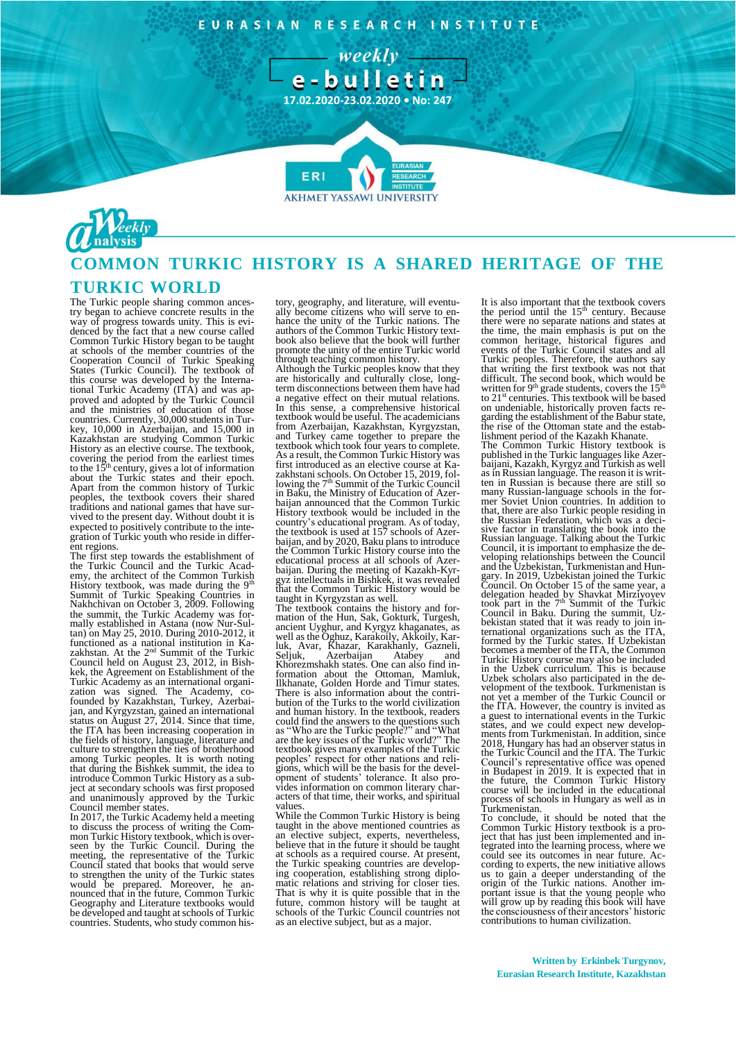EURASIAN RESEARCH INSTITUTE





# **COMMON TURKIC HISTORY IS A SHARED HERITAGE OF THE**

## **TURKIC WORLD**

The Turkic people sharing common ances-try began to achieve concrete results in the way of progress towards unity. This is evi-denced by the fact that a new course called Common Turkic History began to be taught at schools of the member countries of the Cooperation Council of Turkic Speaking States (Turkic Council). The textbook of this course was developed by the Interna-tional Turkic Academy (ITA) and was ap-proved and adopted by the Turkic Council and the ministries of education of those countries. Currently, 30,000 students in Turkey, 10,000 in Azerbaijan, and 15,000 in Kazakhstan are studying Common Turkic History as an elective course. The textbook, covering the period from the earliest times to the 15<sup>th</sup> century, gives a lot of information about the Turkic states and their epoch. Apart from the common history of Turkic peoples, the textbook covers their shared traditions and national games that have sur-vived to the present day. Without doubt it is expected to positively contribute to the integration of Turkic youth who reside in different regions.

The first step towards the establishment of the Turkic Council and the Turkic Academy, the architect of the Common Turkish History textbook, was made during the 9<sup>th</sup><br>Summit of Turkic Speaking Countries in<br>Nakhchivan on October 3, 2009. Following<br>the summit, the Turkic Academy was formally established in Astana (now Nur-Sul-tan) on May 25, 2010. During 2010-2012, it functioned as a national institution in Ka-<br>zakhstan. At the 2<sup>nd</sup> Summit of the Turkic<br>Council held on August 23, 2012, in Bishkek, the Agreement on Establishment of the Turkic Academy as an international organi-zation was signed. The Academy, co-founded by Kazakhstan, Turkey, Azerbaijan, and Kyrgyzstan, gained an international status on August 27, 2014. Since that time, the ITA has been increasing cooperation in the fields of history, language, literature and culture to strengthen the ties of brotherhood among Turkic peoples. It is worth noting that during the Bishkek summit, the idea to introduce Common Turkic History as a sub-ject at secondary schools was first proposed and unanimously approved by the Turkic Council member states.

In 2017, the Turkic Academy held a meeting to discuss the process of writing the Com-mon Turkic History textbook, which is overseen by the Turkic Council. During the meeting, the representative of the Turkic<br>Council stated that books that would serve<br>to strengthen the unity of the Turkic states<br>would be prepared. Moreover, he an-<br>nounced that in the future, Common Turkic<br>Geography and be developed and taught at schools of Turkic countries. Students, who study common history, geography, and literature, will eventually become citizens who will serve to en-hance the unity of the Turkic nations. The authors of the Common Turkic History text-book also believe that the book will further promote the unity of the entire Turkic world through teaching common history.

Although the Turkic peoples know that they are historically and culturally close, longterm disconnections between them have had a negative effect on their mutual relations. In this sense, a comprehensive historical textbook would be useful. The academicians from Azerbaijan, Kazakhstan, Kyrgyzstan, and Turkey came together to prepare the textbook which took four years to complete. As a result, the Common Turkic History was first introduced as an elective course at Kazakhstani schools. On October 15, 2019, fol-<br>lowing the 7<sup>th</sup> Summit of the Turkic Council in Baku, the Ministry of Education of Azerbaijan announced that the Common Turkic History textbook would be included in the country's educational program. As of today, the textbook is used at 157 schools of Azerbaijan, and by 2020, Baku plans to introduce the Common Turkic History course into the educational process at all schools of Azerbaijan. During the meeting of Kazakh-Kyr-gyz intellectuals in Bishkek, it was revealed that the Common Turkic History would be taught in Kyrgyzstan as well.

The textbook contains the history and for-<br>mation of the Hun, Sak, Gokturk, Turgesh,<br>ancient Uyghur, and Kyrgyz khaganates, as<br>well as the Oghuz, Karakoily, Akkoily, Kar-<br>luk, Avar, Khazar, Karakhanly, Gazneli,<br>Seljuk, Aze Khorezmshakh states. One can also find in-formation about the Ottoman, Mamluk, Ilkhanate, Golden Horde and Timur states. There is also information about the contri-bution of the Turks to the world civilization and human history. In the textbook, readers could find the answers to the questions such as "Who are the Turkic people?" and "What are the key issues of the Turkic world?" The textbook gives many examples of the Turkic peoples' respect for other nations and religions, which will be the basis for the devel-opment of students' tolerance. It also pro-vides information on common literary characters of that time, their works, and spiritual values.

While the Common Turkic History is being taught in the above mentioned countries as an elective subject, experts, nevertheless, believe that in the future it should be taught at schools as a required course. At present, the Turkic speaking countries are develop-ing cooperation, establishing strong diplomatic relations and striving for closer ties. That is why it is quite possible that in the future, common history will be taught at schools of the Turkic Council countries not as an elective subject, but as a major.

It is also important that the textbook covers the period until the 15<sup>th</sup> century. Because there were no separate nations and states at the time, the main emphasis is put on the common heritage, historical figures and events of the Turkic Council states and all Turkic peoples. Therefore, the authors say that writing the first textbook was not that difficult. The second book, which would be written for 9<sup>th</sup> grade students, covers the  $15<sup>th</sup>$  to  $21<sup>st</sup>$  centuries. This textbook will be based on undeniable, historically proven facts regarding the establishment of the Babur state, the rise of the Ottoman state and the establishment period of the Kazakh Khanate. The Common Turkic History textbook is published in the Turkic languages like Azerbaijani, Kazakh, Kyrgyz and Turkish as well as in Russian language. The reason it is writ-ten in Russian is because there are still so many Russian-language schools in the former Soviet Union countries. In addition to that, there are also Turkic people residing in the Russian Federation, which was a decisive factor in translating the book into the Russian language. Talking about the Turkic Council, it is important to emphasize the developing relationships between the Council<br>and the Uzbekistan, Turkmenistan and Hun-<br>gary. In 2019, Uzbekistan joined the Turkic<br>Council. On October 15 of the same year, a<br>delegation headed by Shavkat Mirzyoyev<br>took part bekistan stated that it was ready to join in-ternational organizations such as the ITA, formed by the Turkic states. If Uzbekistan becomes a member of the ITA, the Common Turkic History course may also be included in the Uzbek curriculum. This is because Uzbek scholars also participated in the de-velopment of the textbook. Turkmenistan is not yet a member of the Turkic Council or the ITA. However, the country is invited as a guest to international events in the Turkic states, and we could expect new developments from Turkmenistan. In addition, since 2018, Hungary has had an observer status in the Turkic Council and the ITA. The Turkic Council's representative office was opened in Budapest in 2019. It is expected that in the future, the Common Turkic History course will be included in the educational process of schools in Hungary as well as in Turkmenistan.

To conclude, it should be noted that the Common Turkic History textbook is a pro-ject that has just been implemented and integrated into the learning process, where we could see its outcomes in near future. Ac-cording to experts, the new initiative allows us to gain a deeper understanding of the origin of the Turkic nations. Another important issue is that the young people who will grow up by reading this book will have the consciousness of their ancestors' historic contributions to human civilization.